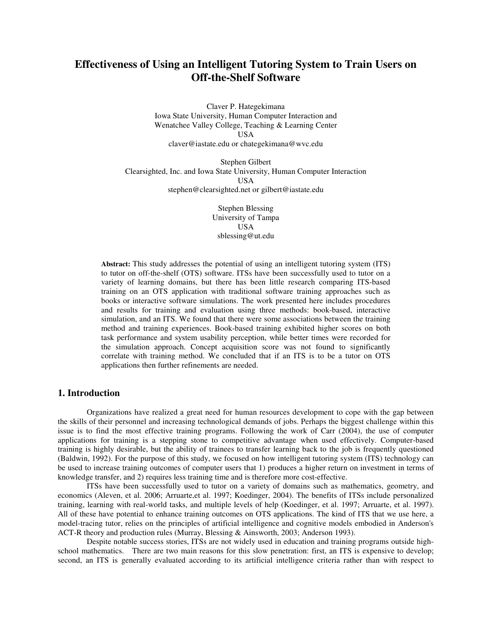# **Effectiveness of Using an Intelligent Tutoring System to Train Users on Off-the-Shelf Software**

Claver P. Hategekimana Iowa State University, Human Computer Interaction and Wenatchee Valley College, Teaching & Learning Center USA claver@iastate.edu or chategekimana@wvc.edu

Stephen Gilbert Clearsighted, Inc. and Iowa State University, Human Computer Interaction USA stephen@clearsighted.net or gilbert@iastate.edu

> Stephen Blessing University of Tampa USA sblessing@ut.edu

**Abstract:** This study addresses the potential of using an intelligent tutoring system (ITS) to tutor on off-the-shelf (OTS) software. ITSs have been successfully used to tutor on a variety of learning domains, but there has been little research comparing ITS-based training on an OTS application with traditional software training approaches such as books or interactive software simulations. The work presented here includes procedures and results for training and evaluation using three methods: book-based, interactive simulation, and an ITS. We found that there were some associations between the training method and training experiences. Book-based training exhibited higher scores on both task performance and system usability perception, while better times were recorded for the simulation approach. Concept acquisition score was not found to significantly correlate with training method. We concluded that if an ITS is to be a tutor on OTS applications then further refinements are needed.

# **1. Introduction**

Organizations have realized a great need for human resources development to cope with the gap between the skills of their personnel and increasing technological demands of jobs. Perhaps the biggest challenge within this issue is to find the most effective training programs. Following the work of Carr (2004), the use of computer applications for training is a stepping stone to competitive advantage when used effectively. Computer-based training is highly desirable, but the ability of trainees to transfer learning back to the job is frequently questioned (Baldwin, 1992). For the purpose of this study, we focused on how intelligent tutoring system (ITS) technology can be used to increase training outcomes of computer users that 1) produces a higher return on investment in terms of knowledge transfer, and 2) requires less training time and is therefore more cost-effective.

ITSs have been successfully used to tutor on a variety of domains such as mathematics, geometry, and economics (Aleven, et al. 2006; Arruarte,et al. 1997; Koedinger, 2004). The benefits of ITSs include personalized training, learning with real-world tasks, and multiple levels of help (Koedinger, et al. 1997; Arruarte, et al. 1997). All of these have potential to enhance training outcomes on OTS applications. The kind of ITS that we use here, a model-tracing tutor, relies on the principles of artificial intelligence and cognitive models embodied in Anderson's ACT-R theory and production rules (Murray, Blessing & Ainsworth, 2003; Anderson 1993).

Despite notable success stories, ITSs are not widely used in education and training programs outside highschool mathematics. There are two main reasons for this slow penetration: first, an ITS is expensive to develop; second, an ITS is generally evaluated according to its artificial intelligence criteria rather than with respect to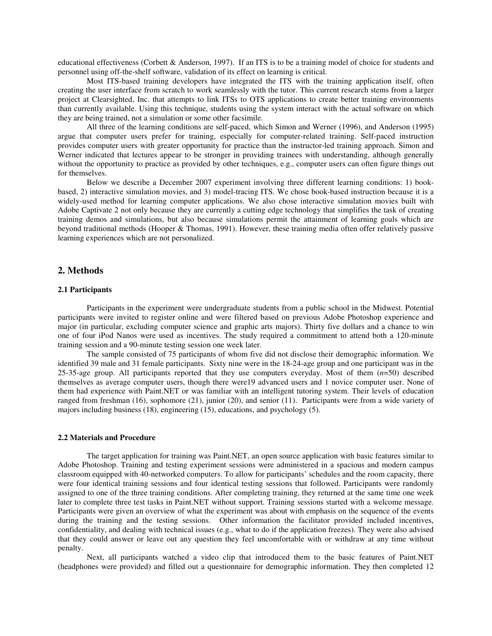educational effectiveness (Corbett & Anderson, 1997). If an ITS is to be a training model of choice for students and personnel using off-the-shelf software, validation of its effect on learning is critical.

Most ITS-based training developers have integrated the ITS with the training application itself, often creating the user interface from scratch to work seamlessly with the tutor. This current research stems from a larger project at Clearsighted, Inc. that attempts to link ITSs to OTS applications to create better training environments than currently available. Using this technique, students using the system interact with the actual software on which they are being trained, not a simulation or some other facsimile.

All three of the learning conditions are self-paced, which Simon and Werner (1996), and Anderson (1995) argue that computer users prefer for training, especially for computer-related training. Self-paced instruction provides computer users with greater opportunity for practice than the instructor-led training approach. Simon and Werner indicated that lectures appear to be stronger in providing trainees with understanding, although generally without the opportunity to practice as provided by other techniques, e.g., computer users can often figure things out for themselves.

Below we describe a December 2007 experiment involving three different learning conditions: 1) bookbased, 2) interactive simulation movies, and 3) model-tracing ITS. We chose book-based instruction because it is a widely-used method for learning computer applications. We also chose interactive simulation movies built with Adobe Captivate 2 not only because they are currently a cutting edge technology that simplifies the task of creating training demos and simulations, but also because simulations permit the attainment of learning goals which are beyond traditional methods (Hooper & Thomas, 1991). However, these training media often offer relatively passive learning experiences which are not personalized.

## **2. Methods**

#### **2.1 Participants**

Participants in the experiment were undergraduate students from a public school in the Midwest. Potential participants were invited to register online and were filtered based on previous Adobe Photoshop experience and major (in particular, excluding computer science and graphic arts majors). Thirty five dollars and a chance to win one of four iPod Nanos were used as incentives. The study required a commitment to attend both a 120-minute training session and a 90-minute testing session one week later.

The sample consisted of 75 participants of whom five did not disclose their demographic information. We identified 39 male and 31 female participants. Sixty nine were in the 18-24-age group and one participant was in the 25-35-age group. All participants reported that they use computers everyday. Most of them (*n*=50) described themselves as average computer users, though there were19 advanced users and 1 novice computer user. None of them had experience with Paint.NET or was familiar with an intelligent tutoring system. Their levels of education ranged from freshman (16), sophomore (21), junior (20), and senior (11). Participants were from a wide variety of majors including business (18), engineering (15), educations, and psychology (5).

#### **2.2 Materials and Procedure**

The target application for training was Paint.NET, an open source application with basic features similar to Adobe Photoshop. Training and testing experiment sessions were administered in a spacious and modern campus classroom equipped with 40-networked computers. To allow for participants' schedules and the room capacity, there were four identical training sessions and four identical testing sessions that followed. Participants were randomly assigned to one of the three training conditions. After completing training, they returned at the same time one week later to complete three test tasks in Paint.NET without support. Training sessions started with a welcome message. Participants were given an overview of what the experiment was about with emphasis on the sequence of the events during the training and the testing sessions. Other information the facilitator provided included incentives, confidentiality, and dealing with technical issues (e.g., what to do if the application freezes). They were also advised that they could answer or leave out any question they feel uncomfortable with or withdraw at any time without penalty.

Next, all participants watched a video clip that introduced them to the basic features of Paint.NET (headphones were provided) and filled out a questionnaire for demographic information. They then completed 12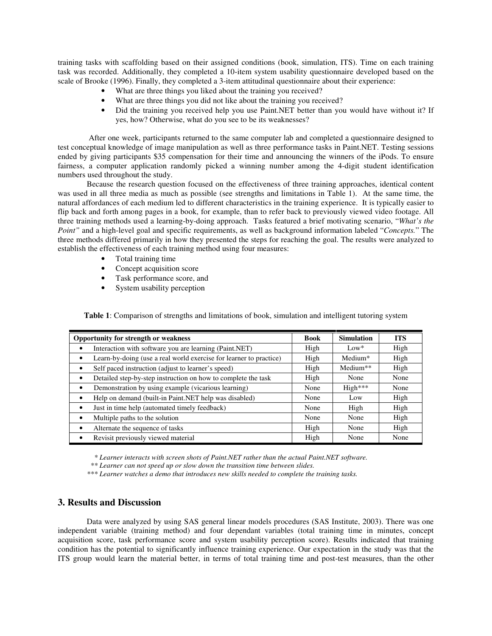training tasks with scaffolding based on their assigned conditions (book, simulation, ITS). Time on each training task was recorded. Additionally, they completed a 10-item system usability questionnaire developed based on the scale of Brooke (1996). Finally, they completed a 3-item attitudinal questionnaire about their experience:

- What are three things you liked about the training you received?
- What are three things you did not like about the training you received?
- Did the training you received help you use Paint.NET better than you would have without it? If yes, how? Otherwise, what do you see to be its weaknesses?

After one week, participants returned to the same computer lab and completed a questionnaire designed to test conceptual knowledge of image manipulation as well as three performance tasks in Paint.NET. Testing sessions ended by giving participants \$35 compensation for their time and announcing the winners of the iPods. To ensure fairness, a computer application randomly picked a winning number among the 4-digit student identification numbers used throughout the study.

Because the research question focused on the effectiveness of three training approaches, identical content was used in all three media as much as possible (see strengths and limitations in Table 1). At the same time, the natural affordances of each medium led to different characteristics in the training experience. It is typically easier to flip back and forth among pages in a book, for example, than to refer back to previously viewed video footage. All three training methods used a learning-by-doing approach. Tasks featured a brief motivating scenario, "*What's the Point"* and a high-level goal and specific requirements, as well as background information labeled "*Concepts.*" The three methods differed primarily in how they presented the steps for reaching the goal. The results were analyzed to establish the effectiveness of each training method using four measures:

- Total training time
- Concept acquisition score
- Task performance score, and
- System usability perception

**Table 1**: Comparison of strengths and limitations of book, simulation and intelligent tutoring system

| <b>Opportunity for strength or weakness</b>                                | <b>Book</b> | <b>Simulation</b> | <b>ITS</b> |
|----------------------------------------------------------------------------|-------------|-------------------|------------|
| Interaction with software you are learning (Paint.NET)                     | High        | $Low*$            | High       |
| Learn-by-doing (use a real world exercise for learner to practice)<br>٠    | High        | Medium*           | High       |
| Self paced instruction (adjust to learner's speed)<br>٠                    | High        | Medium**          | High       |
| Detailed step-by-step instruction on how to complete the task<br>$\bullet$ | High        | None              | None       |
| Demonstration by using example (vicarious learning)<br>٠                   | None        | $High***$         | None       |
| Help on demand (built-in Paint.NET help was disabled)                      | None        | Low               | High       |
| Just in time help (automated timely feedback)                              | None        | High              | High       |
| Multiple paths to the solution                                             | None        | None              | High       |
| Alternate the sequence of tasks                                            | High        | None              | High       |
| Revisit previously viewed material                                         | High        | None              | None       |

*\* Learner interacts with screen shots of Paint.NET rather than the actual Paint.NET software.*

*\*\* Learner can not speed up or slow down the transition time between slides.*

*\*\*\* Learner watches a demo that introduces new skills needed to complete the training tasks.*

# **3. Results and Discussion**

Data were analyzed by using SAS general linear models procedures (SAS Institute, 2003). There was one independent variable (training method) and four dependant variables (total training time in minutes, concept acquisition score, task performance score and system usability perception score). Results indicated that training condition has the potential to significantly influence training experience. Our expectation in the study was that the ITS group would learn the material better, in terms of total training time and post-test measures, than the other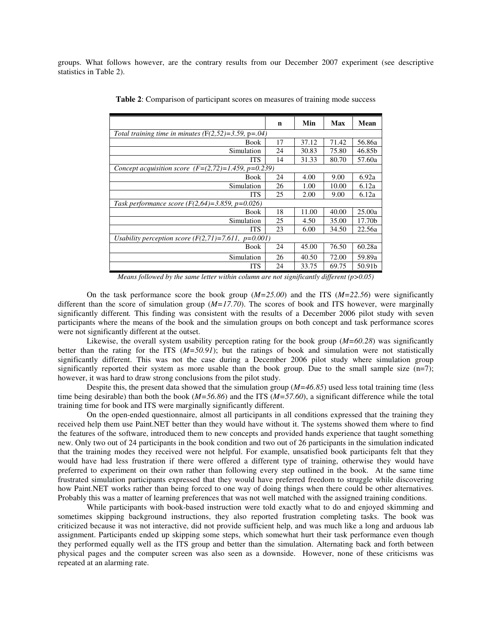groups. What follows however, are the contrary results from our December 2007 experiment (see descriptive statistics in Table 2).

|                                                        | n  | Min   | <b>Max</b> | Mean   |  |  |
|--------------------------------------------------------|----|-------|------------|--------|--|--|
| Total training time in minutes $(F(2,52)=3.59, p=.04)$ |    |       |            |        |  |  |
| Book                                                   | 17 | 37.12 | 71.42      | 56.86a |  |  |
| Simulation                                             | 24 | 30.83 | 75.80      | 46.85b |  |  |
| ITS                                                    | 14 | 31.33 | 80.70      | 57.60a |  |  |
| Concept acquisition score $(F=(2,72)=1.459, p=0.239)$  |    |       |            |        |  |  |
| <b>Book</b>                                            | 24 | 4.00  | 9.00       | 6.92a  |  |  |
| Simulation                                             | 26 | 1.00  | 10.00      | 6.12a  |  |  |
| <b>ITS</b>                                             | 25 | 2.00  | 9.00       | 6.12a  |  |  |
| Task performance score $(F(2,64)=3.859, p=0.026)$      |    |       |            |        |  |  |
| Book                                                   | 18 | 11.00 | 40.00      | 25.00a |  |  |
| Simulation                                             | 25 | 4.50  | 35.00      | 17.70b |  |  |
| <b>ITS</b>                                             | 23 | 6.00  | 34.50      | 22.56a |  |  |
| Usability perception score $(F(2,71)=7.611, p=0.001)$  |    |       |            |        |  |  |
| <b>Book</b>                                            | 24 | 45.00 | 76.50      | 60.28a |  |  |
| Simulation                                             | 26 | 40.50 | 72.00      | 59.89a |  |  |
| ITS                                                    | 24 | 33.75 | 69.75      | 50.91b |  |  |

**Table 2**: Comparison of participant scores on measures of training mode success

*Means followed by the same letter within column are not significantly different (p>0.05)*

On the task performance score the book group (*M=25.00*) and the ITS (*M=22.56*) were significantly different than the score of simulation group (*M=17.70*). The scores of book and ITS however, were marginally significantly different*.* This finding was consistent with the results of a December 2006 pilot study with seven participants where the means of the book and the simulation groups on both concept and task performance scores were not significantly different at the outset.

Likewise, the overall system usability perception rating for the book group (*M=60.28*) was significantly better than the rating for the ITS  $(M=50.91)$ ; but the ratings of book and simulation were not statistically significantly different. This was not the case during a December 2006 pilot study where simulation group significantly reported their system as more usable than the book group. Due to the small sample size  $(n=7)$ ; however, it was hard to draw strong conclusions from the pilot study.

Despite this, the present data showed that the simulation group (*M=46.85*) used less total training time (less time being desirable) than both the book (*M=56.86*) and the ITS (*M=57.60*), a significant difference while the total training time for book and ITS were marginally significantly different.

On the open-ended questionnaire, almost all participants in all conditions expressed that the training they received help them use Paint.NET better than they would have without it. The systems showed them where to find the features of the software, introduced them to new concepts and provided hands experience that taught something new. Only two out of 24 participants in the book condition and two out of 26 participants in the simulation indicated that the training modes they received were not helpful. For example, unsatisfied book participants felt that they would have had less frustration if there were offered a different type of training, otherwise they would have preferred to experiment on their own rather than following every step outlined in the book. At the same time frustrated simulation participants expressed that they would have preferred freedom to struggle while discovering how Paint.NET works rather than being forced to one way of doing things when there could be other alternatives. Probably this was a matter of learning preferences that was not well matched with the assigned training conditions.

While participants with book-based instruction were told exactly what to do and enjoyed skimming and sometimes skipping background instructions, they also reported frustration completing tasks. The book was criticized because it was not interactive, did not provide sufficient help, and was much like a long and arduous lab assignment. Participants ended up skipping some steps, which somewhat hurt their task performance even though they performed equally well as the ITS group and better than the simulation. Alternating back and forth between physical pages and the computer screen was also seen as a downside. However, none of these criticisms was repeated at an alarming rate.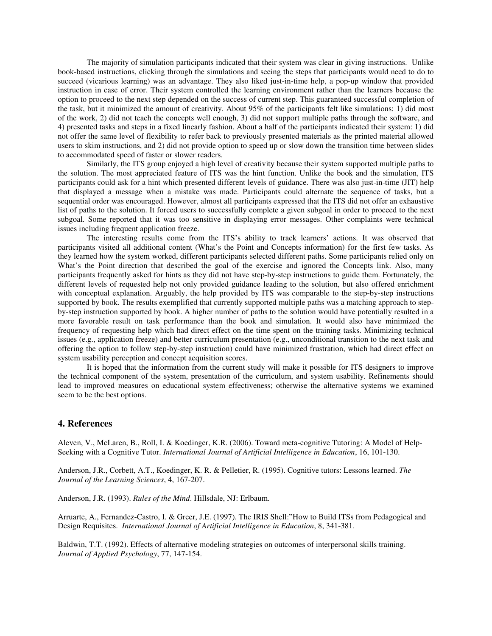The majority of simulation participants indicated that their system was clear in giving instructions. Unlike book-based instructions, clicking through the simulations and seeing the steps that participants would need to do to succeed (vicarious learning) was an advantage. They also liked just-in-time help, a pop-up window that provided instruction in case of error. Their system controlled the learning environment rather than the learners because the option to proceed to the next step depended on the success of current step. This guaranteed successful completion of the task, but it minimized the amount of creativity. About 95% of the participants felt like simulations: 1) did most of the work, 2) did not teach the concepts well enough, 3) did not support multiple paths through the software, and 4) presented tasks and steps in a fixed linearly fashion. About a half of the participants indicated their system: 1) did not offer the same level of flexibility to refer back to previously presented materials as the printed material allowed users to skim instructions, and 2) did not provide option to speed up or slow down the transition time between slides to accommodated speed of faster or slower readers.

Similarly, the ITS group enjoyed a high level of creativity because their system supported multiple paths to the solution. The most appreciated feature of ITS was the hint function. Unlike the book and the simulation, ITS participants could ask for a hint which presented different levels of guidance. There was also just-in-time (JIT) help that displayed a message when a mistake was made. Participants could alternate the sequence of tasks, but a sequential order was encouraged. However, almost all participants expressed that the ITS did not offer an exhaustive list of paths to the solution. It forced users to successfully complete a given subgoal in order to proceed to the next subgoal. Some reported that it was too sensitive in displaying error messages. Other complaints were technical issues including frequent application freeze.

The interesting results come from the ITS's ability to track learners' actions. It was observed that participants visited all additional content (What's the Point and Concepts information) for the first few tasks. As they learned how the system worked, different participants selected different paths. Some participants relied only on What's the Point direction that described the goal of the exercise and ignored the Concepts link. Also, many participants frequently asked for hints as they did not have step-by-step instructions to guide them. Fortunately, the different levels of requested help not only provided guidance leading to the solution, but also offered enrichment with conceptual explanation. Arguably, the help provided by ITS was comparable to the step-by-step instructions supported by book. The results exemplified that currently supported multiple paths was a matching approach to stepby-step instruction supported by book. A higher number of paths to the solution would have potentially resulted in a more favorable result on task performance than the book and simulation. It would also have minimized the frequency of requesting help which had direct effect on the time spent on the training tasks. Minimizing technical issues (e.g., application freeze) and better curriculum presentation (e.g., unconditional transition to the next task and offering the option to follow step-by-step instruction) could have minimized frustration, which had direct effect on system usability perception and concept acquisition scores.

It is hoped that the information from the current study will make it possible for ITS designers to improve the technical component of the system, presentation of the curriculum, and system usability. Refinements should lead to improved measures on educational system effectiveness; otherwise the alternative systems we examined seem to be the best options.

# **4. References**

Aleven, V., McLaren, B., Roll, I. & Koedinger, K.R. (2006). Toward meta-cognitive Tutoring: A Model of Help-Seeking with a Cognitive Tutor. *International Journal of Artificial Intelligence in Education*, 16, 101-130.

Anderson, J.R., Corbett, A.T., Koedinger, K. R. & Pelletier, R. (1995). Cognitive tutors: Lessons learned. *The Journal of the Learning Sciences*, 4, 167-207.

Anderson, J.R. (1993). *Rules of the Mind*. Hillsdale, NJ: Erlbaum.

Arruarte, A., Fernandez-Castro, I. & Greer, J.E. (1997). The IRIS Shell:"How to Build ITSs from Pedagogical and Design Requisites. *International Journal of Artificial Intelligence in Education*, 8, 341-381.

Baldwin, T.T. (1992). Effects of alternative modeling strategies on outcomes of interpersonal skills training. *Journal of Applied Psychology*, 77, 147-154.